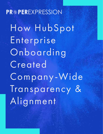### **PR#PEREXPRESSION**

How HubSpot Enterprise Onboarding Created Company-Wide Transparency & Alignment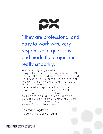

### "They are professional and easy to work with, very responsive to questions and made the project run really smoothly.

We recently engaged with ProperExpression to migrate our CRM and Marketing Automation to HubSpot. This was a fairly complicated project, involving many years' worth of data from disparate sources, incomplete data, and complicated workflow processes on our previous CRM. The team at PE really took the time to understand our needs, provide guidance on the best solutions, and implement them in a way that made sense for our business."

 - Meredith Bagdazian Vice President of Marketing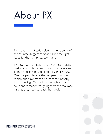## About PX

PX's Lead Quantification platform helps some of the country's biggest companies find the right leads for the right price, every time.

PX began with a mission to deliver best-in-class customer acquisition solutions to marketers and bring an arcane industry into the 21st century. Over the past decade, the company has grown rapidly and saw that the future of the industry lay in bringing efficient, intuitive technology solutions to marketers, giving them the tools and insights they need to reach their goals.

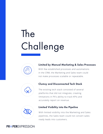## The Challenge



#### Limited by Manual Marketing & Sales Processes

With few established processes and automations in the CRM, the Marketing and Sales team could not make processes scalable or repeatable.



#### Clumsy and Disconnected Tech Stack

The existing tech stack consisted of several platforms that did not integrate, creating limitations in PX's ability to track KPIs and accurately report on revenue.



#### Limited Visibility into the Pipeline

With limited visibility into the Marketing and Sales pipelines, the Sales team could not convert salesready leads into customers.

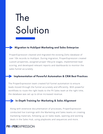# The Solution

#### Migration to HubSpot Marketing and Sales Enterprise

ProperExpression cleaned and migrated the existing Zoho database of over 10k records to HubSpot. During migration, ProperExpression created custom properties, assigned proper lifecycle stages, implemented lead scoring, and developed relevant reports and dashboards to monitor the sales funnel accurately.

#### Implementation of Powerful Automation & CRM Best Practices

The ProperExpression team created full funnel automation to ensure leads moved through the funnel accurately and efficiently. With powerful workflows to route the right leads to the PX Sales team at the right time, the database was set up to drive increased revenue.

#### In-Depth Training for Marketing & Sales Alignment

Along with extensive documentation of processes, ProperExpression conducted live trainings with the Marketing and Sales teams on creating marketing materials, following up on Sales leads, opening and working deals in the Sales Hub, using playbooks and sequences and more.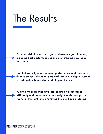## The Results

Provided visibility into lead gen and revenue gen channels, including best-performing channels for creating new leads and deals

Created visibility into campaign performance and revenue influence by centralizing all data and creating in-depth, custom reporting dashboards for marketing and sales

Aligned the marketing and sales teams on processes to efficiently and accurately move the right leads through the funnel at the right time, improving the likelihood of closing